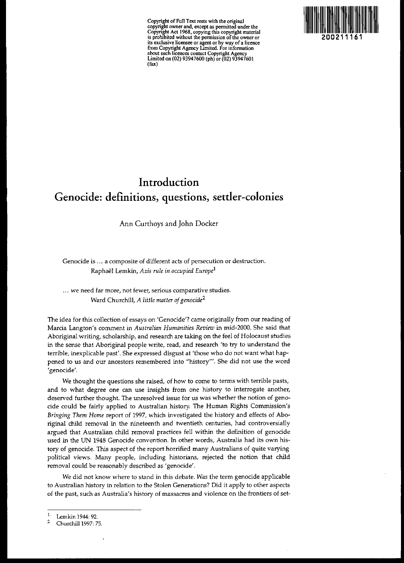**Copyright of Full Text rests with the original copyright owner and, except as pennitted under the Copyright Act 1968, copying this copyright material is prohibited without the pennission** ofthe **owner or its exclusive licensee or agent or by way ofa licence from Copyright Agency Limited. For infonnation about such licences contact Copyright Agency** Limited on (02) 93947600 (ph) or (02) 93947601 (rax)



# **Introduction Genocide: definitions, questions, settler-colonies**

Ann Curthoys and John Docker

**Genocide is** ... **a composite of different acts of persecution or destruction.** Raphael Lemkin, *Axis rule in occupied Europe!*

**... we need far more, not fewer, serious comparative studies.** Ward Churchill, *A little matter ofgenocide<sup>2</sup>*

The idea for this collection of essays on 'Genocide'? came originally from our reading of **Marcia Langton's comment in** *Australian Humanities Review* **in mid-2000. She said that** Aboriginal writing, scholarship, and research are taking on the feel of Holocaust studies in the sense that Aboriginal people write, read, and research 'to try to understand the terrible, inexplicable past'. She expressed disgust at 'those who do not want what happened to us and our ancestors remembered into "history"'. She did not use the word **'genocide'.**

We thought the questions she raised, of how to come to terms with terrible pasts, **and to what degree one can use insights from one history to interrogate another, deserved further thought. The unresolved issue for us was whether the notion of geno**cide could be fairly applied to Australian history. The Human Rights Commission's *Bringing Them Home* report of 1997, which investigated the history and effects of Aboriginal child removal in the nineteenth and twentieth centuries, had controversially argued that Australian child removal practices fell within the definition of genocide used in the UN 1948 Genocide convention. In other words, Australia had its own history of genocide. This aspect of the report horrified many Australians of quite varying political views. Many people, including historians, rejected the notion that child removal could be reasonably described as 'genocide'.

We did not know where to stand in this debate. *Was* the term genocide applicable to Australian history in relation to the Stolen Generations? Did it apply to other aspects **of the past, such as Australia's history of massacres and violence on the frontiers of set-**

<sup>&</sup>lt;sup>1.</sup> Lemkin 1944: 92

<sup>2.</sup> Churchill 1997: 75.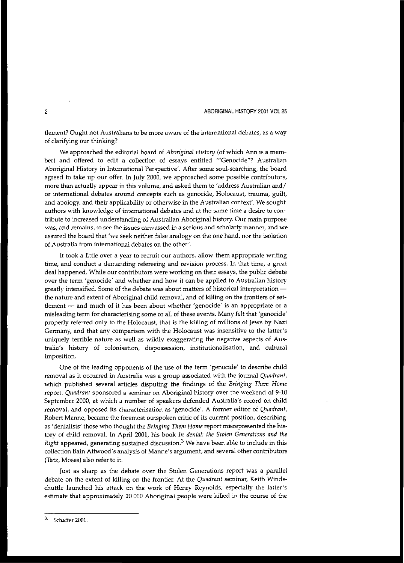2 ABORIGINAL HISTORY 2001 *VOl25*

**tlernent? Ought not Australians to be more aware of the international debates, as a way** of clarifying our thinking?

We approached the editorial board of *Aboriginal History* (of which Ann is a member) and offered to edit a collection of essays entitled "'Genocide"? Australian Aboriginal History in International Perspective'. After some soul-searChing, the board agreed to take up our offer. In July 2000, we approached some possible contributors, **more than actually appear in this volume, and asked them to 'address Australian and/ or international debates around concepts such as genocide, Holocaust, trauma, guilt,** and apology, and their applicability or otherwise in the Australian context'. We sought **authors with knowledge of international debates and at the same time a desire to con**tribute to increased understanding of Australian Aboriginal history. Our main purpose **was, and remains, to see the issues canvassed in a serious and scholarly manner, and we** assured the board that 'we seek neither false analogy on the one hand, nor the isolation **of Australia from international debates on the other',**

**It took a little over a year to recruit our authors, allow them appropriate writing time, and conduct a demanding refereeing and revision process. In that time, a great** deal happened. While our contributors were working on their essays, the public debate over the term'genocide' and whether and how it can be applied to Australian history greatly intensified. Some of the debate was about matters of historical interpretationthe nature and extent of Aboriginal child removal, and of killing on the frontiers of set**tlement - and much of it has been about whether 'genocide' is an appropriate or a misleading term for characterising some or all of these events. Many felt that 'genocide'** properly referred only to the Holocaust, that is the killing of millions of Jews by Nazi **Germany, and that any comparison with the Holocaust was insensitive to the latter's** uniquely terrible nature as well as wildly exaggerating the negative aspects of Aus**tralia's history of colonisation, dispossession, institutionalisation, and cultural imposition.**

One of the leading opponents of the use of the term 'genocide' to describe child **removal as it occurred in Australia was a group associated with the journal** *Quadrant,* which published several articles disputing the findings of the *Bringing Them Home* **report.** *Quadrant* **sponsored a seminar on Aboriginal history over the weekend of 9-10** September 2000, at which a number of speakers defended Australia's record on child **removal. and opposed its characterisation as 'genocide'. A former editor of** *Quadrant,* Robert Manne, became the foremost outspoken critic of its current position, describing as 'denialists' those who thought the *Bringing Them Home* report misrepresented the history of child removal. In April 2001, his book *In denial: the Stolen Generations and the Right* appeared, generating sustained discussion.<sup>3</sup> We have been able to include in this **collection Bain Attwood's analysis of Manne's argument, and several other contributors** (Tatz, Moses) also refer to it.

Just as sharp as the debate over the Stolen Generations report was a parallel debate on the extent of killing on the frontier. At the *Quadrant* seminar, Keith Windschuttle launched his attack on the work of Henry Reynolds, especially the latter's **estimate that approximately 20000 Aboriginal people were killed in the course of the**

<sup>3.</sup> Schaffer 2001.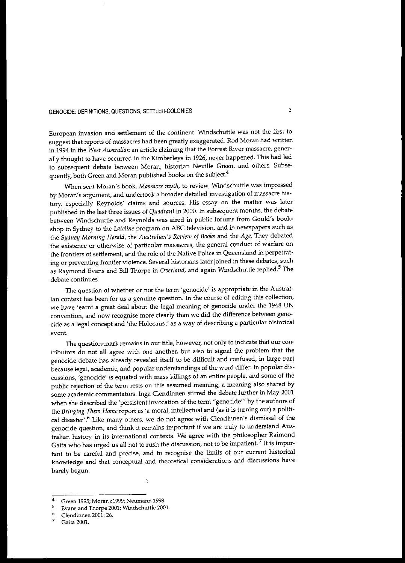European invasion and settlement of the continent. Windschuttle was not the first to suggest that reports of massacres had been greatly exaggerated. Rod Moran had written **in 1994 in the** *West Australian* **an article claiming that the Forrest River massacre, gener**ally thought to have occurred in the Kimberleys in 1926, never happened. This had led **to subsequent debate between Moran, historian Neville Green, and others. Subse**quently, both Green and Moran published books on the subject.<sup>4</sup>

When sent Moran's book, *Massacre myth,* to review, Windschuttle was impressed by Moran's argument, and undertook a broader detailed investigation of massacre his**tory, especially Reynolds' claims and sources. His essay on the matter was later** published in the last three issues of *Quadrant* in 2000. In subsequent months, the debate between Windschuttle and Reynolds was aired in public forums from Could's bookshop in Sydney to the *Lateline* program on ABC television, and in newspapers such as the *Sydney Morning Herald,* the *Australian's Review of Books* and the *Age.* They debated **the existence or otherwise of particular massacres, the general candliet of warfare on** the frontiers of settlement, and the role of the Native Police in Queensland in perpetrat**ing or preventing frontier violence. Several historians later joined in these debates, such** as Raymond Evans and Bill Thorpe in *Overland*, and again Windschuttle replied.<sup>5</sup> The **debate continues.**

**The question of whether or not the term 'genocide' is appropriate in the Australian context has been for us a genuine question. In the course of editing this collection,** we have learnt a great deal about the legal meaning of genocide under the 1948 UN **convention, and now recognise more clearly than we did the difference between geno**cide as a legal concept and 'the Holocaust' as a way of describing a particular historical **event.**

**The question-mark remains in our title, however, not only to indicate that our con**tributors do not all agree with one another, but also to signal the problem that the genocide debate has already revealed itself to be difficult and confused, in large part because legal, academic, and popular understandings of the word differ. In popular discussions, 'genocide' is equated with mass killings of an entire people, and some of the **public rejection of the term rests on this assumed meaning, a meaning also shared by** some academic commentators. Inga Clendinnen stirred the debate further in May 2001 when she described the 'persistent invocation of the term "genocide'" by the authors of the *Bringing Them Home* report as 'a moral, intellectual and (as it is turning out) a political disaster'.<sup>6</sup> Like many others, we do not agree with Clendinnen's dismissal of the **genocide question, and think it remains important if we are truly to understand Aus**tralian history in its international contexts. We agree with the philosopher Raimond **Gaita who has urged us all not to rush the discussion, not to be impatient. 7 It is impor**tant to be careful and precise, and to recognise the limits of our current historical **knowledge and that conceptual and theoretical considerations and discussions have** barely begun.

**<sup>4.</sup> Green 1995; Moran c1999; Neumann 1998.**

<sup>5.</sup> Evans and Thorpe *2001;* Windschuttle 2001.

<sup>6.</sup> Clendinnen 2001: 26.<br><sup>7.</sup> Caita 2001

<sup>7.</sup> Gaita *2001.*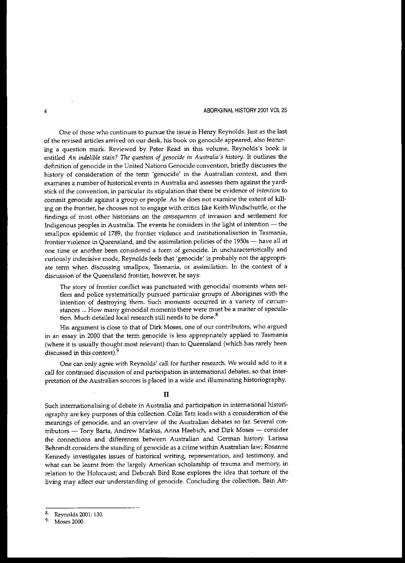#### 4 ABORIGINAL HISTORY 2001 VOL 25

One of those who continues to pursue the issue is Henry Reynolds. Just as the last **of the revised articles arrived on our desk, his book on genocide appeared, also featur**ing a question mark. Reviewed by Peter Read in this volume, Reynolds's book is entitled *An indelible stain? The question of genocide in Australia's history.* It outlines the definition of genocide in the United Nations Genocide convention, briefly discusses the history of consideration of the term 'genocide' in the Australian context, and then **examines a number of historical events in Australia and assesses them against the yardstick of the convention, in particular its stipulation that there be evidence of** *intention* **to** commit genocide against a group or people. As he does not examine the extent of killing on the frontier, he chooses not to engage with critics like Keith Windschuttle, or the **findings of most other historians on the** *consequences* **of invasion and settlement for** Indigenous peoples in Australia. The events he considers in the light of intention  $-$  the **smallpox epidemic of 1789, the frontier violence and institutionalisation in Tasmania,** frontier violence in Queensland, and the assimilation policies of the 1950s - have all at **one time or another been considered a form of genocide. In uncharacteristically and** curiously indecisive mode, Reynolds feels that'genocide' is probably not the appropri**ate term when discussing smallpox, Tasmania, or assimilation. In the context of a** discussion of the Queensland frontier, however, he says:

**The story of frontier conflict was punctuated with genocidal moments when set**tlers and police systematically pursued particular groups of Aborigines with the **intention of destroying them. Such moments occurred in a variety of circwnstances ... How many genocidal moments there were must be a matter of specula**tion. Much detailed local research still needs to be done.<sup>8</sup>

**His argument is close to that of Dirk Moses, one of our contributors, who argued** in an essay in 2000 that the term genocide is less appropriately applied to Tasmania (where it is usually thought most relevant) than to Queensland (which has rarely been discussed in this context).<sup>9</sup>

One can only agree with Reynolds' call for further research. We would add to it a call for continued discussion of and participation in international debates, so that interpretation of the Australian sources is placed in a wide and illuminating historiography.

### II

Such internationalising of debate in Australia and participation in international historiography are key purposes of this collection. Colin Tatz leads with a consideration of the **meanings of genocide, and an overview of the Australian debates so far. Several con**tributors - Tony Barta, Andrew Markus, Anna Haebich, and Dirk Moses - consider the connections and differences between Australian and German history. Larissa Behrendt considers the standing of genocide as a crime within Australian law; Rosanne Kennedy investigates issues of historical writing, representation, and testimony, and **what can be learnt from the largely American scholarship of trawna and memory, in** relation to the Holocaust; and Deborah Bird Rose explores the idea that torture of the living may affect our understanding of genocide. Concluding the collection, Bain Att-

<sup>8.</sup> Reynolds 200L 130.

**<sup>9.</sup> Moses 2000.**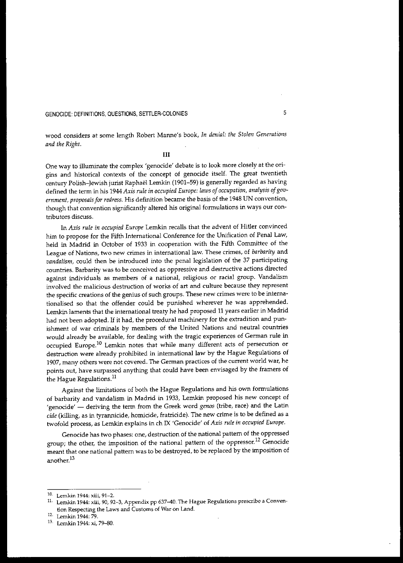wood considers at some length Robert Manne's book, *In denial: the Stolen Generations and the Right.*

### III

One way to illuminate the complex'genocide' debate is to look more closely at the origins and historical contexts of the concept of genocide itself. The great twentieth century Polish-Jewish jurist Raphael Lemkin (1901-59) is generally regarded as having defined the term in his 1944 *Axis rule in occupied Europe: laws ofoccupation, analysis ofgovernment, proposalsfor redress.* His definition became the basis of the 1948 UN convention, though that convention significantly altered his original formulations in ways our con**tributors discuss.**

In *Axis rule in occupied Europe* Lemkin recalls that the advent of Hitler convinced him to propose for the Fifth International Conference for the Unification of Penal Law, held in Madrid in October of 1933 in cooperation with the Fifth Committee of the **League of Nations, two new crimes in** international law. **These crimes, of** *barbarity* **and** *vandalism,* could then be introduced into the penal legislation of the 37 participating **countries. Barbarity was to be conceived as oppressive and destructive actions directed against individuals as members of a national, religious or racial group. Vandalism involved the malicious destruction of works of art and culture because they represent the specific creations of the genius of such groups. These new crimes were to be interna**tionalised so that the offender could be punished wherever he was apprehended. Lemkin laments that the international treaty he had proposed 11 years earlier in Madrid had not been adopted. If it had, the procedural machinery for the extradition and pun**ishment of war criminals by members of the United Nations and neutral countries** would already be available, for dealing with the tragic experiences of German rule in occupied Europe.ID Lemkin notes that while many different acts of persecution or destruction were already prohibited in international law by the Hague Regulations of **1907, many others were not covered. The German practices of the current world war, he** points out, have surpassed anything that could have been envisaged by the framers of the Hague Regulations.<sup>11</sup>

Against the limitations of both the Hague Regulations and his own formulations of barbarity and vandalism in Madrid in 1933, Lemkin proposed his new concept of 'genocide' - deriving the term from the Greek word *genos* (tribe, race) and the Latin *cide* (killing, as in tyrannicide, homicide, fratricide). The new crime is to be defined as a twofold process, as Lemkin explains in ch IX 'Genocide' of *Axis rule in occupied Europe.*

Genocide has two phases: one, destruction of the national pattern of the oppressed group; the other, the imposition of the national pattern of the oppressor.<sup>12</sup> Genocide meant that one national pattern was to be destroyed, to be replaced by the imposition of **another.<sup>13</sup>**

**<sup>10.</sup> Lemkin 1944: xiii, 91-2.**

**<sup>11.</sup> Lemkin 1944: xiii, 90, 92-3, Appendix pp 637-40. The Hague Regulations prescribe a Convention Respecting the Laws and Customs of War on Land.**

**<sup>12.</sup> Lemkin 1944: 79.**

<sup>13</sup> Lernkin 1944: xi, 79-80.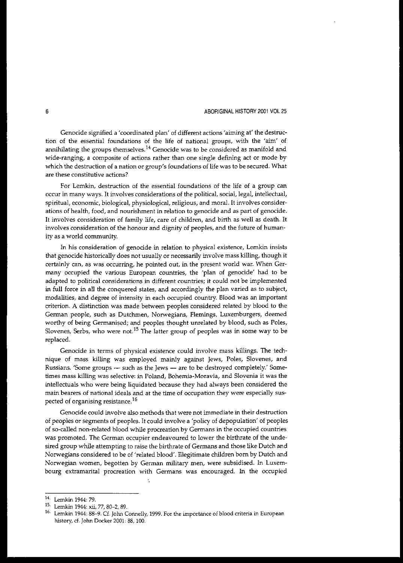### 6 **6** ABORIGINAL HISTORY 2001 VOL 25

Genocide signified a 'coordinated plan' of different actions 'aiming at' the destruction of the essential foundations of the life of national groups, with the 'aim' of **annihilating the groups themselves.1<sup>4</sup> Genocide was to be considered as manifold and wide-ranging, a composite of actions rather than one single defining act or mode by** which the destruction of a nation or group's foundations of life was to be secured. What **are these constitutive actions?**

For Lemkin, destruction of the essential foundations of the life of a group can **occur in many ways. It involves considerations of the political, social, legal, intellectual, spiritual, economic, biological, physiological, religious, and moral. It involves considerations of health, food, and nourishment in relation to genocide and as part of genocide.** It involves consideration of family life, care of children, and birth as well as death. It involves consideration of the honour and dignity of peoples, and the future of humanity as a world community.

**In his consideration of genocide in relation to physical existence, Lemkin insists** that genocide historically does not usually or necessarily involve mass killing, though it **certainly can, as was occurring, he pointed out, in the present world war. When Ger**many occupied the various European countries, the 'plan of genocide' had to be **adapted to political considerations in different countries; it could not be implemented** in full force in all the conquered states, and accordingly the plan varied as to subject, **modalities, and degree of intensity in each occupied country. Blood was an important** criterion. A distinction was made between peoples considered related by blood to the **Gennan people, such as Dutchmen, Norwegians, Flemings, Luxemburgers, deemed** worthy of being Germanised; and peoples thought unrelated by blood, such as Poles, Slovenes, Serbs, who were not.<sup>15</sup> The latter group of peoples was in some way to be replaced.

Genocide in terms of physical existence could involve mass killings. The technique of mass killing was employed mainly against Jews, Poles, Slovenes, and Russians. 'Some groups - such as the Jews - are to be destroyed completely.' Some**times mass killing was selective: in Poland, Bohemia-Moravia, and Slo:venia it was the** intellectuals who were being liquidated because they had always been considered the **main bearers of national ideals and at the time of occupation they were especially sus**pected of organising resistance. <sup>16</sup>

**Genocide could involve also methods that were not immediate in their destruction** of peoples or segments of peoples. It could involve a 'policy of depopulation' of peoples **of so-called non-related blood while procreation by Germans in the occupied countries was promoted. The German occupier endeavoured to lower the birthrate of the unde**sired group while attempting to raise the birthrate of Germans and those like Dutch and Norwegians considered to be of 'related blood'. illegitimate children born by Dutch and **Norwegian women, begotten by German military men, were subsidised. In Luxembourg extramarital procreation with Germans was encouraged. In the occupied**

<sup>14.</sup> Lemkin 1944, 79.

**<sup>15.</sup> Lemkin 1944: xii, 77, 80-2, 89.**

**<sup>16.</sup> Lemkin 1944: 88-9. Cf. ]olm Connelly, 1999. For the importance** of blood **criteria in European** history, cf. John Docker 2001: 88, 100.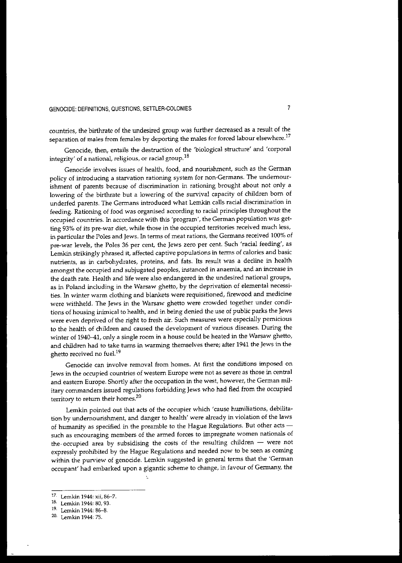countries, the birthrate of the undesired group was further decreased as a result of the **separation of males from females by deporting the males for forced labour elsewhere.<sup>17</sup>**

Genocide, then, entails the destruction of the 'biological structure' and 'corporal integrity' of a national, religious, or racial group.<sup>18</sup>

Genocide involves issues of health, food, and nourishment, such as the German **policy of introducing a starvation rationing system for non-Germans. The undernour**ishment of parents because of discrimination in rationing brought about not only a lowering of the birthrate but a lowering of the survival capacity of children born of underfed parents. The Germans introduced what Lemkin calls racial discrimination in feeding. Rationing of food was organised according to racial principles throughout the **occupied countries. In accordance with this 'program', the German population was getting 93% of its pre-war diet, while those in the occupied territories received much less, in particular the Poles and Jews. In terms of meat rations, the Germans received 100% of** pre-war levels, the Poles 36 per cent, the Jews zero per cent. Such 'racial feeding', as Lernkin strikingly phrased it, affected captive populations in terms of calories and basic nutrients, as in carbohydrates, proteins, and fats. Its result was a decline in health **amongst the occupied and subjugated peoples, instanced in anaemia, and an increase in** the death rate. Health and life were also endangered in the undesired national groups, as in Poland including in the Warsaw ghetto, by the deprivation of elemental necessities. In winter warm clothing and blankets were requisitioned, firewood and medicine were withheld. The Jews in the Warsaw ghetto were crowded together under conditions of housing inimical to health, and in being denied the use of public parks the Jews **were even deprived of the right to fresh air. Such measures were especially pernicious** to the health of children and caused the development of various diseases. During the winter of 1940-41, only a single room in a house could be heated in the Warsaw ghetto, and children had to take turns in warming themselves there; after 1941 the Jews in the ghetto received no fuel.<sup>19</sup>

**Genocide can involve removal from homes. At first the conditions imposed on Jews in the occupied countries of western Europe were not as severe as those in central and eastern Europe. Shortly after the occupation in the west, however, the German mil**itary commanders issued regulations forbidding Jews who had fled from the occupied **territory to return their homes.<sup>20</sup>**

Lemkin pointed out that acts of the occupier which 'cause humiliations, debilitation by undernourishment, and danger to health' were already in violation of the laws of humanity as specified in the preamble to the Hague Regulations. But other acts **such as encouraging members of the armed forces to impregnate women nationals of** the. occupied area by subsidising the costs of the resulting children - were not expressly prohibited by the Hague Regulations and needed now to be seen as coming within the purview of genocide. Lemkin suggested in general terms that the 'German occupant' had embarked upon a gigantic scheme to change, in favour of Germany, the

**<sup>17.</sup> Lemkin 1944: xii, 86-7.**

**<sup>18.</sup> Lemkin 1944: 80, 93.**

<sup>19.</sup> Lemkin 1944: 86-8.

<sup>20.</sup> Lemkin 1944: 75.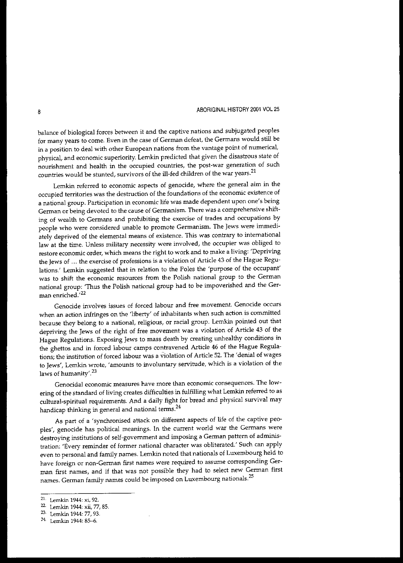balance of biological forces between it and the captive nations and subjugated peoples **for many years to come. Even in the case of German defeat, the Germans would still be** in **a position to deal with other European nations from the vantage point of numerical,** physical, and economic superiority. Lemkin predicted that given the disastrous state of **nourishment and health in the occupied countries, the post-war generation of such countries would be stunted, survivors of the ill-fed children of the war years. 21**

**Lemkin referred to economic aspects of genocide, where the general aim in the occupied territories was the destruction of the foundations of the economic existence of a national group. Participation in economic life was made dependent upon one's being German or being devoted to the cause of Germanism. There was a comprehensive shift**ing of wealth to Germans and prohibiting the exercise of trades and occupations by **people who were considered unable to promote Germanism. The Jews were immediately deprived of the elemental means of existence. This was contrary to international law at the time. Unless military necessity were involved, the occupier was obliged to restore economic order, which means the right to work and to make a living: 'Depriving the Jews of** ... **the exercise of professions is a violation of Article 43 of the Hague Regu**lations.' Lemkin suggested that in relation to the Poles the 'purpose of the occupant' **was to shift the economic resources from the Polish national group to the German** national group: 'Thus the Polish national group had to be impoverished and the Ger**man enriched.'**22

**Genocide involves issues of forced labour and free movement. Genocide occurs** when an action infringes on the 'liberty' of inhabitants when such action is committed because they belong to a national, religious, or racial group. Lemkin pointed out that depriving the Jews of the right of free movement was a violation of Article 43 of the Hague Regulations. Exposing Jews to mass death by creating unhealthy conditions in the ghettos and in forced labour camps contravened Article 46 of the Hague Regulations; the institution of forced labour was a violation of Article 52. The'denial of wages **to Jews', Lemkin wrote, 'amounts to involuntary servitude, which is a violation of the** laws of humanity'.<sup>23</sup>

**Genocidal economic measures have more than economic consequences. The low**ering of the standard of living creates difficulties in fulfilling what Lemkin referred to as cultural-spiritual requirements. And a daily fight for bread and physical survival may handicap thinking in general and national terms.<sup>24</sup>

As part of a 'synchronised attack on different aspects of life of the captive peoples', genocide has political meanings. In the current world war the Germans were destroying institutions of self-government and imposing a German pattern of administration: 'Every reminder of former national character was obliterated.' Such can apply even to personal and family names. Lemkin noted that nationals of Luxembourg held to **have foreign or non-German first names were required to assume corresponding Ger**man first names, and if that was not possible they had to select new German first **names. German family names could be.imposed on Luxembourg nationals.<sup>25</sup>**

**<sup>21.</sup> Lemkin 1944: xi, 92.**

<sup>22.</sup> **Lemkin 1944: xii, 77, 85.**

<sup>23.</sup> **Lemkin 1944: 77, 93.**

<sup>24</sup> Lemkin 1944: 85-6.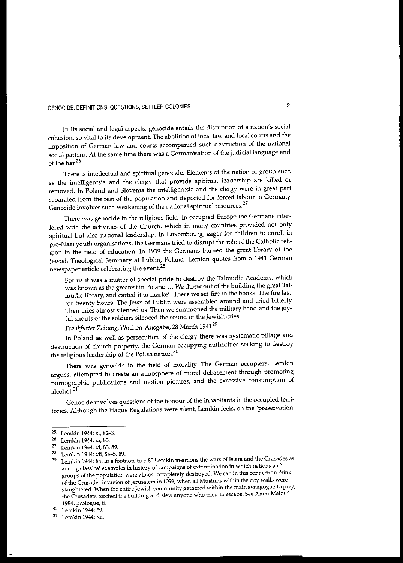**In its social and legal aspects, genocide entails the disruption of a nation's social cohesion, so vital to its development. The abolition of** local law **and local courts and the** imposition of German law and courts accompanied such destruction of the national social pattern. At the same time there was a Germanisation of the judicial language and of the bar.<sup>26</sup>

**There is intellectual and spiritual genocide. Elements of the nation or group such** as the intelligentsia and the clergy that provide spiritual leadership are killed or removed. In Poland and Slovenia the intelligentsia and the clergy were in great part separated from the rest of the population and deported for forced labour in Germany. **Genocide involves such weakening of the national spiritual resources. 27**

There was genocide in the religious field. In occupied Europe the Germans interfered with the activities of the Church, which in many countries provided not only spiritual but also national leadership. In Luxembourg, eager for children to enrol! in pro-Nazi youth organisations, the Germans tried to disrupt the role of the Catholic religion in the field of education. In 1939 the Germans burned the great library of the Jewish Theological Seminary at Lublin, Poland. Lemkin quotes from a 1941 German **newspaper article celebrating the event,28**

For us it was a matter of special pride to destroy the Talmudic Academy, which was known as the greatest in Poland ... We threw out of the building the great Talmudic library, and carted it to market. There we set fire to the books. The fire last for twenty hours. The Jews of Lublin were assembled around and cried bitterly. Their cries almost silenced us. Then we summoned the military band and the joyful shouts of the soldiers silenced the sound of the Jewish cries.

*Frankfurter Zeitung,* Wochen-Ausgabe, 28 March 1941<sup>29</sup>

In Poland as well as persecution of the clergy there was systematic pillage and destruction of church property, the German occupying authorities seeking to destroy the religious leadership of the Polish nation. $30$ 

There was genocide in the field of morality. The German occupiers, Lemkin argues, attempted to create an atmosphere of moral debasement through promoting pornographic publications and motion pictures, and the excessive consumption of alcohol.<sup>31</sup>

**Genocide involves questions of the honour of the inhabitants in the occupied terri**tories. Although the Hague Regulations were silent, Lemkin feels, on the 'preservation

<sup>25.</sup> Lemkin 1944: xi, 82-3.

**<sup>26.</sup> Lemkin 1944: xi, 83.**

**<sup>27.</sup> Lemkin 1944: xi, 83, 89.**

<sup>28.</sup> **Lemkin 1944:** xii, 84-5, **89.**

<sup>&</sup>lt;sup>29.</sup> Lemkin 1944: 85. In a footnote to p 80 Lemkin mentions the wars of Islam and the Crusades as **among classical examples in history of campaigns of extermination in which nations and groups of the population were almost completely destroyed. We can in this connection think of the Crusader invasion of Jerusalem in 1099, when all Muslims within the city walls were slaughtered. When the entire Jewish community gathered within the main synagogue to pray, the Crusaders torched the building and slew anyone who tried to escape. See Amin Malouf 1984: prologue, ii.**

<sup>30.</sup> Lemkin 1944, 89.

**<sup>31.</sup> Lemkin 1944: xii.**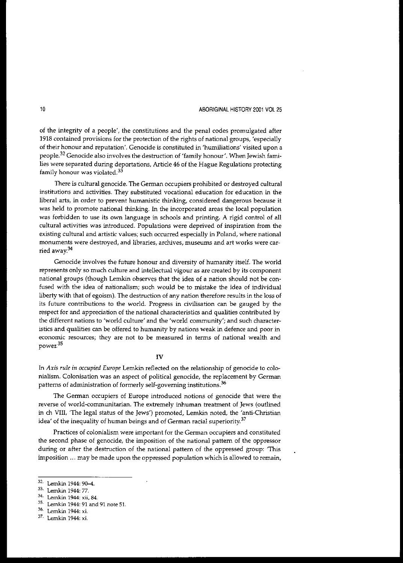### 10 **ABORIGINAL HISTORY 2001 VOL 25**

of the integrity of a people', the constitutions and the penal codes promulgated after 1918 contained provisions for the protection of the rights of national groups, 'especially **of their honour and reputation'. Genocide is constituted in 'humiliations' visited upon a people.<sup>32</sup> Genocide also involves the destruction of 'family honour', When Jewish fami**lies were separated during deportations, Article 46 of the Hague Regulations protecting **family honour was violated. <sup>33</sup>**

There is cultural genocide. The German occupiers prohibited or destroyed cultural **institutions and activities. They substituted vocational education for education in the liberal arts, in order to prevent humanistic thinking, considered dangerous because it** was held to promote national thinking. In the incorporated areas the local population was forbidden to use its own language in schools and printing. A rigid control of all **cultural activities was introduced. Pepulations were deprived of inspiration from the existing cultural and artistic values; such occurred especially in Poland, where national monuments were destroyed, and libraries, archives, museums and art works were car**ried away.34

Genocide involves the future honour and diversity of humanity itself. The world **represents only so much culrure and intellectual vigour as are created by its component** national groups (though Lemkin observes that the idea of a nation should not be confused with the idea of nationalism; such would be to mistake the idea of individual liberty with that of egoism). The destruction of any nation therefore results in the loss of **its future contributions to the world. Progress in civilisation can be gauged by the** respect for and appreciation of the national characteristics and qualities contributed by the different nations to 'world culture' and the 'world community'; and such characteristics and qualities can be offered to humanity by nations weak in defence and poor in **economic resources; they are not to be measured in terms of national wealth and power.<sup>35</sup>**

#### **IV**

In Axis rule in occupied Europe Lemkin reflected on the relationship of genocide to colonialism. Colonisation was an aspect of political genocide, the replacement by German patterns of administration of formerly self-governing institutions.<sup>36</sup>

**The German occupiers of Europe introduced notions of genOCide that were the reverse of world-corrununitarian. The extremely inhuman treatment of Jews (outlined** in ch VIII, 'The legal status of the Jews') promoted, Lemkin noted, the 'anti-Christian idea' of the inequality of human beings and of German racial superiority.<sup>37</sup>

**Practices of colonialism were important for the German occupiers and constituted** the second phase of genocide, the imposition of the national pattern of the oppressor during or after the destruction of the national pattern of the oppressed group: 'This imposition ... may be made upon the oppressed population which is allowed to remain,

<sup>32.</sup> Lemkin 1944: 90-4.

<sup>33.</sup> Lemkin 1944: 77.

**<sup>34.</sup> Lemkin 1944: xii, 84.**

**<sup>35.</sup> Lemkin 1944: 91 and 91 note 5I.**

**<sup>36.</sup> Lemkin 1944: xi.**

**<sup>37.</sup> Lemkin 1944: xi.**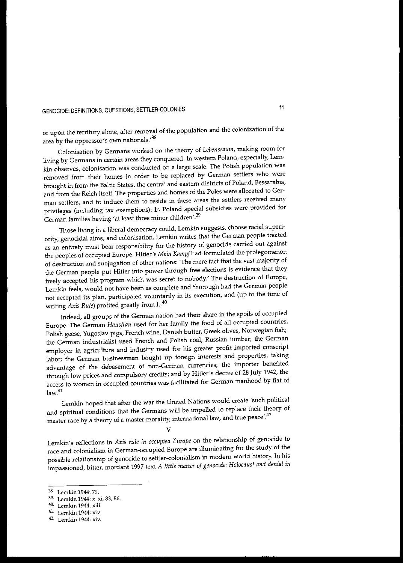or upon the territory alone, after removal of the population and the colonization of the **area by the oppressor's own nationals:<sup>38</sup>**

**Colonisation by Germans worked on the theory of** *Lebensraum,* **making room for living by Germans in certain areas they conquered. In western Poland, especially, Lern**kin observes, colonisation was conducted on a large scale. The Polish population was **removed from their homes in order to be replaced by German settlers who were** brought in from the Baltic States, the central and eastern districts of Poland, Bessarabia, and from the Reich itself. The properties and homes of the Poles were allocated to Ger**man settlers, and to induce them to reside in these areas the settlers received many** privileges (including tax exemptions), In Poland special subsidies were provided for German families having 'at least three minor children'.<sup>39</sup>

Those living in a liberal democracy could, Lemkin suggests, choose racial superiority, genocidal aims, and colonisation. Lemkin writes that the German people treated as an entirety must bear responsibility for the history of genocide carried out against the peoples of occupied Europe. Hitler's *Mein Kampfhad* formulated the prolegomenon **of destruction and subjugation of other nations: 'The mere fact that the vast majority of** the German people put Hitler into power through free elections is evidence that they freely accepted his program which was secret to nobody.' The destruction of Europe, Lemkin feels, would not have been as complete and thorough had the German people not accepted its plan, participated voluntarily in its execution, and (up to the time of writing *Axis Rule*) profited greatly from it.<sup>40</sup>

Indeed, all groups of the German nation had their share in the spoils of occupied Europe. The German *Hausfrau* used for her family the food of all occupied countries, Polish geese, Yugoslav pigs, French wine, Danish butter, Greek olives, Norwegian fish; the German industrialist used French and Polish coal, Russian lumber; the German employer in agriculture and industry used for his greater profit imported conscript labor; the German businessman bought up foreign interests and properties, taking advantage of the debasement of non-German currencies; the importer benefited through low prices and compulsory credits; and by Hitler's decree of 28 July 1942, the **access to women in occupied countries was facilitated for German manhood by fiat of** law.<sup>41</sup>

Lemkin hoped that after the war the United Nations would create 'such political and spiritual conditions that the Germans will be impelled to replace their theory of **master race by a theory of a master morality,** international law, **and true peace,.42**

V

Lemkin's reflections in Axis *rule in occupied Europe* on the relationship of genocide to race and colonialism in German-occupied Europe are illuminating for the study of the possible relationship of genocide to settler-eolonialism in modem world history. In his impassioned, bitter, mordant 1997 text *A little matter of genocide: Holocaust and denial in*

<sup>38.</sup> Lemkin 1944: 79.

**<sup>39.</sup> Lemkin 1944: x-xi, 83, 86.**

**<sup>40.</sup> Lemkin 1944: xlii.**

**<sup>41.</sup> Lemkin 1944: xiv.**

**<sup>42.</sup> Lemkin 1944: xiv.**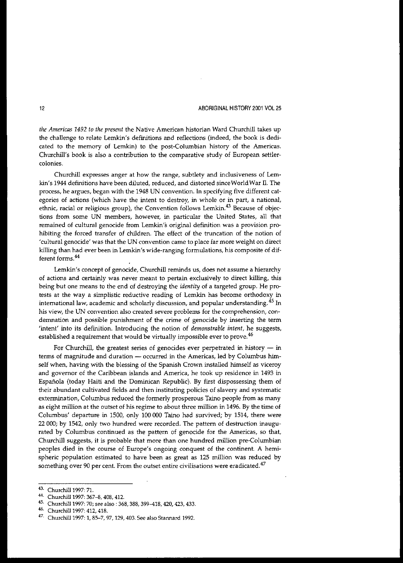*the Americas* 1492 *to the present* the Native American historian Ward Churchill takes up the challenge to relate Lemkin's definitions and reflections (indeed, the book is dedicated to the memory of Lemkin) to the post-Columbian history of the Americas. Churchill's book is also a contribution to the comparative study of European settler**colonies.**

**Churchill expresses anger at how the range, subtlety and inclusiveness of Lem**kin's 1944 definitions have been diluted, reduced, and distorted since World War II. The process, he argues, began with the 1948 UN convention. In specifying five different categories of actions (which have the intent to destroy, in whole or in part, a national, **ethnic, racial or religious group), the Convention follows Lemkin.<sup>43</sup> Because of objec**tions from some UN members, however, in particular the United States, all that **remained of cultural genocide from Lemkin's original definition was a provision pro**hibiting the forced transfer of children. The effect of the truncation of the notion of **'cultural genocide' was that the UN convention came to place far more weight on direct** killing than had ever been in Lemkin's wide-ranging formulations, his composite of dif**ferent forms. <sup>44</sup>**

Lemkin's concept of genocide, Churchill reminds us, does not assume a hierarchy **of actions and certainly was never meant to pertain exclusively to direct killing, this** being but one means to the end of destroying the *identity* of a targeted group. He protests at the way a simplistic reductive reading of Lemkin has become orthodoxy in **intemationallaw, academic and scholarly discussion, and popular understanding. 45 In his view, the UN convention also created severe problems for the comprehension, condemnation and possible punishment of the crime of genocide by inserting the term** 'intent' into its definition. Introducing the notion of *demonstrable intent,* he suggests, established a requirement that would be virtually impossible ever to prove.<sup>46</sup>

For Churchill, the greatest series of genocides ever perpetrated in history  $-$  in **terms of magnitude and duration - occurred in the Americas, led by Columbus him**self when, having with the blessing of the Spanish Crown installed himself as viceroy and governor of the Caribbean islands and America, he took up residence in 1493 in Española (today Haiti and the Dominican Republic). By first dispossessing them of their abundant cultivated fields and then instituting policies of slavery and systematic extermination, Columbus reduced the formerly prosperous Taino people from as many as eight million at the outset of his regime to about three million in 1496. By the time of Columbus' departure in 1500, only 100 000 Taino had survived; by 1514, there were 22 000; by 1542, only two hundred were recorded. The pattern of destruction inaugurated by Columbus continued as the pattern of genocide for the Americas, so that, Churchill suggests, it is probable that more than one hundred million pre-Columbian peoples died in the course of Europe's ongoing conquest of the continent. A hemispheric population estimated to have been as great as 125 million was reduced by **something over 90 per cent. From the outset entire civilisations were eradicated.<sup>47</sup>**

<sup>43.</sup> Churchill 1997, 71.

<sup>44.</sup> Churchill 1997: 367-8, 408, 412.

<sup>45.</sup> Churchill 1997: 70; see also: 368, 388, 399-418, 420, 423, 433.

<sup>46.</sup> Churchill 1997, 412, 418.

<sup>47.</sup> Churchill 1997: 1,85-7,97,129,403. See also Stannard 1992.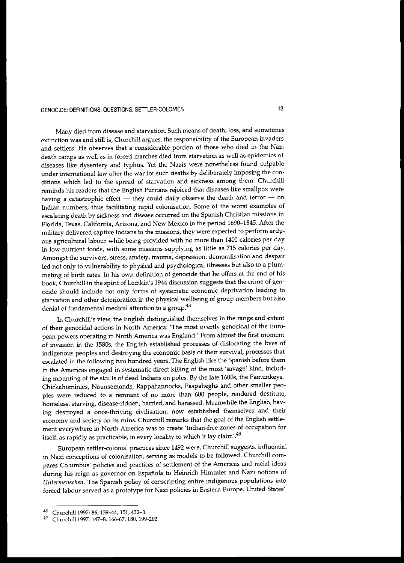Many died from disease and starvation. Such means of death, loss, and sometimes extinction was and still is, Churchill argues, the responsibility of the European invaders and settlers. He observes that a considerable portion of those who died in the Nazi **death camps as well as in forced marches died from starvation as well as epidemics of** diseases like dysentery and typhus. Yet the Nazis were nonetheless found culpable under international law after the war for such deaths by deliberately imposing the conditions which led to the spread of starvation and sickness among them. Churchill reminds his readers that the English Puritans rejoiced that diseases like smallpox were having a catastrophic effect  $-$  they could daily observe the death and terror  $-$  on Indian numbers, thus facilitating rapid colonisation. Some of the worst examples of **escalating death by sickness and disease occurred on the Spanish Christian missions in** Florida, Texas, California, Arizona, and New Mexico in the period 1690-1845. After the **military delivered captive Indians to the missions, they were expected to perform ard\!** ous agricultural labour while being provided with no more than 1400 calories per day in low-nutrient foods, with some missions supplying as little as 715 calories per day. **Amongst the survivors, stress, anxie1y, trauma, depression, demoralisation and despair** led not only to vulnerability to physical and psychological illnesses but also to a plummeting of birth rates. In his own definition of genocide that he offers at the end of his book, Churchill in the spirit of Lemkin's 1944 discussion suggests that the crime of gen**ocide should include not only forms of systematic economic deprivation leading to** starvation and other deterioration in the physical wellbeing of group members but also **denial of fundamental medical attention to a group.48**

In Churchill's view, the English distinguished themselves in the range and extent **of their genocidal actions in North America: 'The most overtly genocidal of the Euro**pean powers operating in North America was England.' From almost the first moment of invasion in the 1580s, the English established processes of dislocating the lives of indigenous peoples and destroying the economic basis of their survival, processes that escalated in the following two hundred years. The English like the Spanish before them in the Americas engaged in systematic direct killing of the most 'savage' kind, including mounting of the skulls of dead Indians on poles. By the late 16005, the Pamunkeys, Chickahominies, Naunsemonds, Rappahannocks, Paspaheghs and other smaller peo**ples were reduced to a rerrmant of no more than 600 people, rendered destitute,** homeless, starving, disease-ridden, harried, and harassed. Meanwhile the English, having destroyed a once-thriving civilisation, now established themselves and their economy and society on its ruins. Churchill remarks that the goal of the English settle**ment ever:YW'here in North America was to create 'Indian-free zones of occupation for** itself, as rapidly as practicable, in every locality to which it lay claim'.<sup>49</sup>

European settler-colonial practices since 1492 were, Churchill suggests, influential in Nazi conceptions of colonisation, serving as models to be followed. Churchill com**pares Columbus' policies and practices of settlement of the Americas and racial ideas** during his reign as governor on Española to Heinrich Himmler and Nazi notions of *Untermenschen.* The Spanish policy of conscripting entire indigenous populations into forced labour served as a prototype for Nazi policies in Eastern Europe. United States'

<sup>48.</sup> Churchill 1997: 86, 139-44, 151, 432-3.

<sup>49.</sup> Churchill 1997: 147-8, 166-67, 180, 199-202.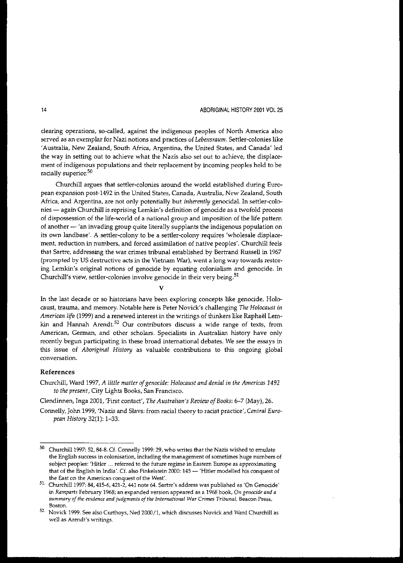### 14 ABORIGINAL HISTORY 2001 *VOL 25*

**clearing operations, so-called, against the indigenous peoples of North America also served as an exemplar for Nazi notions and practices of** *Lebensraum.* **Settler-colonies like** 'Australia, New Zealand, South Africa, Argentina, the United States, and Canada' led the way in setting out to achieve what the Nazis also set out to achieve, the displacement of indigenous populations and their replacement by incoming peoples held to be racially superior.<sup>50</sup>

Churchill argues that settler-colonies around the world established during European expansion post-1492 in the United States, Canada, Australia, New Zealand, South Africa, and Argentina, are not only potentially but *inherently* genocidal. In settler-colanies - again Churchill is reprising Lemkin's definition of genocide as a twofold process of dispossession of the life-world of a national group and imposition of the life pattern of another - 'an invading group quite literally supplants the indigenous population on its own landbase'. A settler-eolony to be a settler-colony requires 'wholesale displacement, reduction in numbers, and forced assimilation of native peoples'. Churchill feels that Sartre, addressing the war crimes tribunal established by Bertrand Russell in 1967 (prompted by US destructive acts in the Vietnam War), went a long way towards restoring Lemkin's original notions of genocide by equating colonialism and genocide. In Churchill's view, settler-colonies involve genocide in their very being.<sup>51</sup>

V

In the last decade or so historians have been exploring concepts like genocide, Holocaust, trauma, and memory. Notable here is Peter Novick's challenging *The Holocaust in American life* (1999) and a renewed interest in the writings of thinkers like RaphaeI Lem**kin and Hannah Arendt. <sup>52</sup> Our contributors discuss a wide range of texts, from American, Gennan, and other scholars. Specialists in Australian history have only** recently begun participating in these broad international debates. We see the essays in this issue of *Aboriginal History* as valuable contributions to this ongoing global **conversation.**

### References

Churchill, Ward 1997, *A little matter ofgenOCide: Holocaust and denial in the Americas 1492 to the present,* City Lights Books, San Francisco.

Clendinnen, Inga 2001, 'First contact', *The Australian's Review of Books:* 6-7 (May), 26.

Connelly, John 1999, 'Nazis and Slavs: from racial theory to racist practice', *Central European History* 32(1): 1-33.

**<sup>50.</sup>** Churchill 1997: **52, 84-8. Cf. Connelly 1999: 29, who writes that the Nazis wished to emulate the English success in colonisation, including the management ofsometimes huge numbers of subject peoples: 'Hitler ... referred to the future regime in Eastern Europe as approximating that of the English in India'. Cf. also Finkelstein 2000: 145 - 'Hitler modelled his conquest of the East on the American conquest of the West'.**

**<sup>51.</sup>** Churchill 1997: **84, 415-6, 421-2, 441 note 64. Sartre's address was published as 'On Genocide' in** *Ramparts* **February 1968; an expanded version appeared as a 1968 book,** *On genocide and a summary of the evidence and judgments of the International War Crimes Tribunal,* **Beacon Press, Boston.**

**<sup>52.</sup> Novick 1999. See also Curthoys, Ned 2000/1, which discusses Novick and Ward Churchill as well as Arendt's writings.**